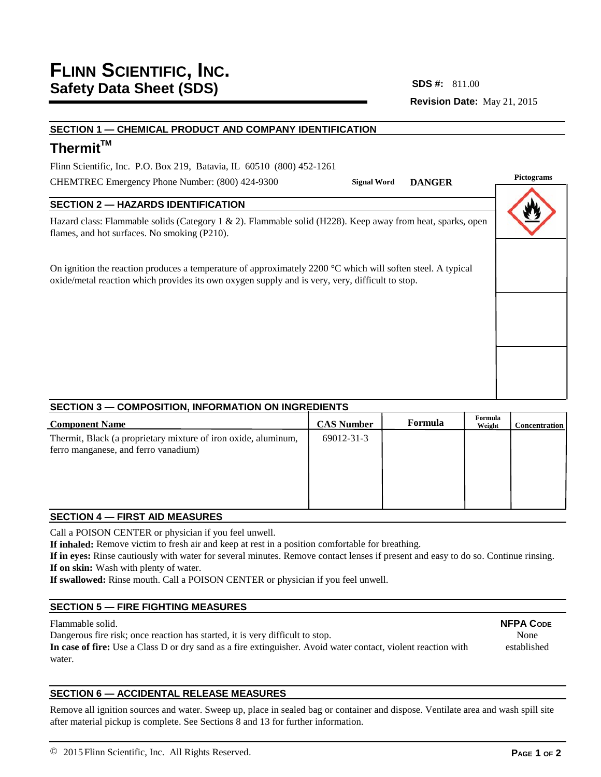**Revision Date:** May 21, 2015 **SDS #:**

# **SECTION 1 — CHEMICAL PRODUCT AND COMPANY IDENTIFICATION**

# Thermit<sup>™</sup>

Flinn Scientific, Inc. P.O. Box 219, Batavia, IL 60510 (800) 452-1261

CHEMTREC Emergency Phone Number: (800) 424-9300

# **SECTION 2 — HAZARDS IDENTIFICATION**

Hazard class: Flammable solids (Category 1 & 2). Flammable solid (H228). Keep away from heat, sparks, open flames, and hot surfaces. No smoking (P210).

On ignition the reaction produces a temperature of approximately 2200 °C which will soften steel. A typical oxide/metal reaction which provides its own oxygen supply and is very, very, difficult to stop.

# **Pictograms Signal Word DANGER**

## **SECTION 3 — COMPOSITION, INFORMATION ON INGREDIENTS**

| <b>Component Name</b>                                                                                  | <b>CAS Number</b> | Formula | Formula<br>Weight | <b>Concentration</b> |
|--------------------------------------------------------------------------------------------------------|-------------------|---------|-------------------|----------------------|
| Thermit, Black (a proprietary mixture of iron oxide, aluminum,<br>ferro manganese, and ferro vanadium) | 69012-31-3        |         |                   |                      |

# **SECTION 4 — FIRST AID MEASURES**

Call a POISON CENTER or physician if you feel unwell.

**If inhaled:** Remove victim to fresh air and keep at rest in a position comfortable for breathing.

**If in eyes:** Rinse cautiously with water for several minutes. Remove contact lenses if present and easy to do so. Continue rinsing. **If on skin:** Wash with plenty of water.

**If swallowed:** Rinse mouth. Call a POISON CENTER or physician if you feel unwell.

## **SECTION 5 — FIRE FIGHTING MEASURES**

### Flammable solid.

Dangerous fire risk; once reaction has started, it is very difficult to stop.

**In case of fire:** Use a Class D or dry sand as a fire extinguisher. Avoid water contact, violent reaction with water.

## **SECTION 6 — ACCIDENTAL RELEASE MEASURES**

Remove all ignition sources and water. Sweep up, place in sealed bag or container and dispose. Ventilate area and wash spill site after material pickup is complete. See Sections 8 and 13 for further information.

**NFPA CODE** None established